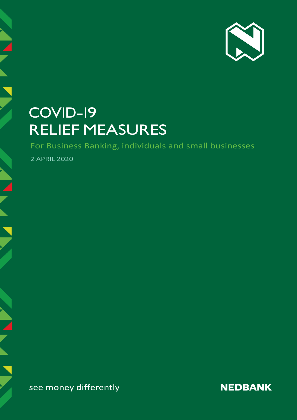

# COVID-19 RELIEF MEASURES

For Business Banking, individuals and small businesses

2 APRIL 2020

see money differently

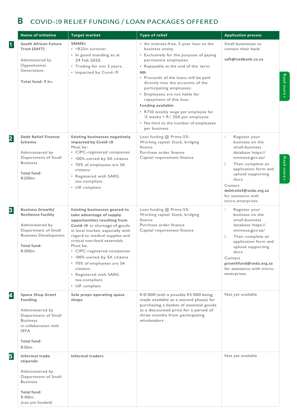### **B** COVID-19 RELIEF FUNDING / LOAN PACKAGES OFFERED

|                | <b>Name of initiative</b>                                                                                                                                                                | <b>Target market</b>                                                                                                                                                                                                                                                                                                                                                                                                       | <b>Type of relief</b>                                                                                                                                                                                                                                                                                                                                                                                                                                                                                               | <b>Application process</b>                                                                                                                                                                                                                                        |
|----------------|------------------------------------------------------------------------------------------------------------------------------------------------------------------------------------------|----------------------------------------------------------------------------------------------------------------------------------------------------------------------------------------------------------------------------------------------------------------------------------------------------------------------------------------------------------------------------------------------------------------------------|---------------------------------------------------------------------------------------------------------------------------------------------------------------------------------------------------------------------------------------------------------------------------------------------------------------------------------------------------------------------------------------------------------------------------------------------------------------------------------------------------------------------|-------------------------------------------------------------------------------------------------------------------------------------------------------------------------------------------------------------------------------------------------------------------|
| $\vert$ 1      | <b>South African Future</b><br>Trust (SAFT)<br>Administered by<br>Oppenheimer<br>Generations<br>Total fund: Ribn                                                                         | <b>SMMEs</b><br>• <r25m turnover.<br="">• In good standing as at<br/>29 Feb 2020.<br/>• Trading for min 2 years.<br/>• Impacted by Covid-19.</r25m>                                                                                                                                                                                                                                                                        | • An interest-free, 5-year loan to the<br>business entity.<br>• Exclusively for the purpose of paying<br>permanent employees.<br>• Repayable at the end of the term.<br>NB:<br>• Proceeds of the loans will be paid<br>directly into the accounts of the<br>participating employees.<br>• Employees are not liable for<br>repayment of this loan.<br><b>Funding available:</b><br>• R750 weekly wage per employee for<br>15 weeks = RII 250 per employee.<br>• No limit to the number of employees<br>per business. | Small businesses to<br>contact their bank<br>saft@nedbank.co.za                                                                                                                                                                                                   |
| $\overline{2}$ | <b>Debt Relief Finance</b><br><b>Scheme</b><br>Administered by<br>Department of Small<br><b>Business</b><br><b>Total fund:</b><br>R200 <sub>m</sub>                                      | <b>Existing businesses negatively</b><br>impacted by Covid-19.<br>Must be:<br>• CIPC-registered companies<br>• 100%-owned by SA citizens<br>• 70% of employees are SA<br>citizens<br>• Registered with SARS;<br>tax-compliant<br>• UIF compliant                                                                                                                                                                           | Loan funding @ Prime-5%:<br>Working capital: Stock, bridging<br>finance<br>Purchase order finance<br>Capital requirement finance                                                                                                                                                                                                                                                                                                                                                                                    | Register your<br>Ι.<br>business on the<br>small-business<br>database https://<br>smmesa.gov.za/<br>Then complete an<br>2.<br>application form and<br>upload supporting<br>docs.<br>Contact<br>debtrelief@seda.org.za<br>for assistance with<br>micro-enterprises  |
| 3 <sup>°</sup> | <b>Business Growth/</b><br><b>Resilience Facility</b><br>Administered by<br>Department of Small<br><b>Business Development</b><br><b>Total fund:</b><br>R300m                            | <b>Existing businesses geared to</b><br>take advantage of supply<br>opportunities resulting from<br>Covid-19 or shortage of goods<br>in local market, especially with<br>regard to medical supplies and<br>critical non-food essentials.<br>Must be:<br>• CIPC-registered companies<br>· 100%-owned by SA citizens<br>• 70% of employees are SA<br>citizens<br>• Registered with SARS;<br>tax-compliant<br>• UIF compliant | Loan funding @ Prime-5%:<br>Working capital: Stock, bridging<br>finance<br>Purchase order finance<br>Capital requirement finance                                                                                                                                                                                                                                                                                                                                                                                    | Ι.<br>Register your<br>business on the<br>small-business<br>database https://<br>smmesa.gov.za/<br>Then complete an<br>2.<br>application form and<br>upload supporting<br>docs.<br>Contact<br>growthfund@seda.org.za<br>for assistance with micro-<br>enterprises |
| 4              | <b>Spaza Shop Grant</b><br><b>Funding</b><br>Administered by<br>Department of Small<br><b>Business</b><br>in collaboration with<br><b>SEFA</b><br><b>Total fund:</b><br>R30 <sub>m</sub> | Sole props operating spaza<br>shops                                                                                                                                                                                                                                                                                                                                                                                        | RIO 000 (with a possible R5 000 being<br>made available as a second phase) for<br>purchasing a basket of essential goods<br>at a discounted price for a period of<br>three months from participating<br>wholesalers                                                                                                                                                                                                                                                                                                 | Not yet available                                                                                                                                                                                                                                                 |
| 5              | <b>Informal trade</b><br>stipends<br>Administered by<br>Department of Small<br><b>Business</b><br><b>Total fund:</b><br>R100 <sub>m</sub><br>(not yet funded)                            | <b>Informal traders</b>                                                                                                                                                                                                                                                                                                                                                                                                    |                                                                                                                                                                                                                                                                                                                                                                                                                                                                                                                     | Not yet available                                                                                                                                                                                                                                                 |

Read more Read more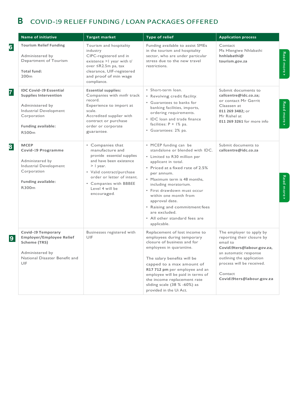## **B** COVID-19 RELIEF FUNDING / LOAN PACKAGES OFFERED

|   | <b>Name of initiative</b>                                                                                                                                                   | <b>Target market</b>                                                                                                                                                                                                               | <b>Type of relief</b>                                                                                                                                                                                                                                                                                                                                                                                  | <b>Application process</b>                                                                                                                                                                                                  |                |
|---|-----------------------------------------------------------------------------------------------------------------------------------------------------------------------------|------------------------------------------------------------------------------------------------------------------------------------------------------------------------------------------------------------------------------------|--------------------------------------------------------------------------------------------------------------------------------------------------------------------------------------------------------------------------------------------------------------------------------------------------------------------------------------------------------------------------------------------------------|-----------------------------------------------------------------------------------------------------------------------------------------------------------------------------------------------------------------------------|----------------|
| 6 | <b>Tourism Relief Funding</b><br>Administered by<br>Department of Tourism<br><b>Total fund:</b><br>200 <sub>m</sub>                                                         | Tourism and hospitality<br>industry<br>CIPC-registered and in<br>existence > I year with t/<br>over ≤R2.5m pa, tax<br>clearance, UIF-registered<br>and proof of min wage<br>compliance.                                            | Funding available to assist SMEs<br>in the tourism and hospitality<br>sector, who are under particular<br>stress due to the new travel<br>restrictions.                                                                                                                                                                                                                                                | Contact<br>Ms Hlengiwe Nhlabathi<br>hnhlabathi@<br>tourism.gov.za                                                                                                                                                           | Read more      |
| 7 | <b>IDC Covid-19 Essential</b><br><b>Supplies Intervention</b><br>Administered by<br>Industrial Development<br>Corporation<br><b>Funding available:</b><br>R500 <sub>m</sub> | <b>Essential supplies:</b><br>Companies with mnfr track<br>record.<br>Experience to import at<br>scale.<br>Accredited supplier with<br>contract or purchase<br>order or corporate<br>guarantee.                                    | · Short-term loan.<br>• Revolving credit facility.<br>• Guarantees to banks for<br>banking facilities, imports,<br>ordering requirements.<br>• IDC loan and trade finance<br>facilities: $P + 1\%$ pa.<br>• Guarantees: 2% pa.                                                                                                                                                                         | Submit documents to<br>callcentre@idc.co.za;<br>or contact Mr Gerrit<br>Claassen at<br>011 269 3482; or<br>Mr Rishel at<br>011 269 3261 for more info                                                                       | Read<br>more » |
| 8 | <b>MCEP</b><br><b>Covid-19 Programme</b><br>Administered by<br>Industrial Development<br>Corporation<br><b>Funding available:</b><br>R300m                                  | • Companies that<br>manufacture and<br>provide essential supplies<br>and have been existence<br>$>$   year.<br>· Valid contract/purchase<br>order or letter of intent.<br>• Companies with BBBEE<br>Level 4 will be<br>encouraged. | • MCEP funding can be<br>standalone or blended with IDC.<br>• Limited to R30 million per<br>applicant in total.<br>• Priced at a fixed rate of 2.5%<br>per annum.<br>• Maximum term is 48 months,<br>including moratorium.<br>· First drawdown must occur<br>within one month from<br>approval date.<br>• Raising and commitment fees<br>are excluded.<br>• All other standard fees are<br>applicable. | Submit documents to<br>callcentre@idc.co.za                                                                                                                                                                                 | Read more      |
| 9 | <b>Covid-19 Temporary</b><br><b>Employer/Employee Relief</b><br>Scheme (TRS)<br>Administered by<br>National Disaster Benefit and<br>UIF                                     | Businesses registered with<br>UIF                                                                                                                                                                                                  | Replacement of lost income to<br>employees during temporary<br>closure of business and for<br>employees in quarantine.<br>The salary benefits will be<br>capped to a max amount of<br>R17 712 pm per employee and an<br>employee will be paid in terms of<br>the income replacement rate<br>sliding scale (38 % -60%) as<br>provided in the Ui Act.                                                    | The employer to apply by<br>reporting their closure by<br>email to<br>Covid19ters@labour.gov.za,<br>an automatic response<br>outlining the application<br>process will be received.<br>Contact<br>Covid19ters@labour.gov.za |                |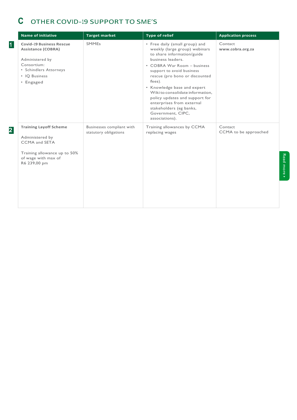### **C** OTHER COVID-19 SUPPORT TO SME'S

|                | <b>Name of initiative</b>                                                                                                                              | <b>Target market</b>                               | <b>Type of relief</b>                                                                                                                                                                                                                                                                                                                                                                                                          | <b>Application process</b>       |
|----------------|--------------------------------------------------------------------------------------------------------------------------------------------------------|----------------------------------------------------|--------------------------------------------------------------------------------------------------------------------------------------------------------------------------------------------------------------------------------------------------------------------------------------------------------------------------------------------------------------------------------------------------------------------------------|----------------------------------|
| $\overline{1}$ | <b>Covid-19 Business Rescue</b><br><b>Assistance (COBRA)</b><br>Administered by<br>Consortium:<br>• Schindlers Attorneys<br>• IO Business<br>• Engaged | <b>SMMEs</b>                                       | • Free daily (small group) and<br>weekly (large group) webinars<br>to share information/guide<br>business leaders.<br>• COBRA War Room - business<br>support to avoid business<br>rescue (pro bono or discounted<br>fees).<br>• Knowledge base and expert<br>Wiki to consolidate information,<br>policy updates and support for<br>enterprises from external<br>stakeholders (eg banks,<br>Government, CIPC,<br>associations). | Contact<br>www.cobra.org.za      |
| $\overline{2}$ | <b>Training Layoff Scheme</b><br>Administered by<br><b>CCMA</b> and SETA<br>Training allowance up to 50%<br>of wage with max of<br>R6 239,00 pm        | Businesses compliant with<br>statutory obligations | Training allowances by CCMA<br>replacing wages                                                                                                                                                                                                                                                                                                                                                                                 | Contact<br>CCMA to be approached |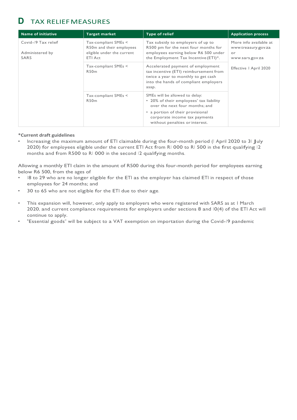### **D** TAX RELIEFMEASURES

| <b>Name of initiative</b>                      | <b>Target market</b>                                                                      | <b>Type of relief</b>                                                                                                                                                | <b>Application process</b>                                             |
|------------------------------------------------|-------------------------------------------------------------------------------------------|----------------------------------------------------------------------------------------------------------------------------------------------------------------------|------------------------------------------------------------------------|
| Covid-19 Tax relief<br>Administered by<br>SARS | Tax-compliant SMEs <<br>R50m and their employees<br>eligible under the current<br>ETI Act | Tax subsidy to employers of up to<br>R500 pm for the next four months for<br>employees earning below R6 500 under<br>the Employment Tax Incentive (ETI)*.            | More info available at<br>www.treasury.gov.za<br>or<br>www.sars.gov.za |
|                                                | Tax-compliant SMEs <<br><b>R50m</b>                                                       | Accelerated payment of employment<br>tax incentive (ETI) reimbursement from<br>twice a year to monthly to get cash<br>into the hands of compliant employers<br>asap. | Effective   April 2020                                                 |
|                                                | $Tax$ -compliant SMEs $\leq$<br>R50 <sub>m</sub>                                          | SMEs will be allowed to delay:<br>• 20% of their employees' tax liability<br>over the next four months; and                                                          |                                                                        |
|                                                |                                                                                           | • a portion of their provisional<br>corporate income tax payments<br>without penalties or interest.                                                                  |                                                                        |

#### **\*Current draft guidelines**

• Increasing the maximum amount of ETI claimable during the four-month period (I April 2020 to 31 July 2020) for employees eligible under the current ETI Act from RI 000 to RI 500 in the first qualifying I2 months and from R500 to RI 000 in the second 12 qualifying months.

Allowing a monthly ETI claim in the amount of R500 during this four-month period for employees earning below R6 500, from the ages of

- 18 to 29 who are no longer eligible for the ETI as the employer has claimed ETI in respect of those employees for 24 months; and
- 30 to 65 who are not eligible for the ETI due to their age.
- This expansion will, however, only apply to employers who were registered with SARS as at 1 March 2020, and current compliance requirements for employers under sections 8 and 10(4) of the ETI Act will continue to apply.
- "Essential goods" will be subject to a VAT exemption on importation during the Covid-19 pandemic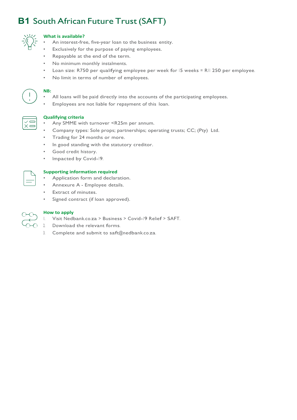### **B1** South African Future Trust (SAFT)



#### **What is available?**

- An interest-free, five-year loan to the business entity.
- Exclusively for the purpose of paying employees.
- Repayable at the end of the term.
- No minimum monthly instalments.
- Loan size: R750 per qualifying employee per week for 15 weeks <sup>=</sup> R11 250 per employee.
- No limit in terms of number of employees.

**NB:**

- All loans will be paid directly into the accounts of the participating employees.
- Employees are not liable for repayment of this loan.



#### **Qualifying criteria**

- Any SMME with turnover <R25m per annum.
- Company types: Sole props; partnerships; operating trusts; CC; (Pty) Ltd.
- Trading for 24 months or more.
- In good standing with the statutory creditor.
- Good credit history.
- Impacted by Covid-19.



#### **Supporting information required**

- Application form and declaration.
- Annexure A Employee details.
- **Extract of minutes.**
- Signed contract (if loan approved).



#### **How to apply**

- 1. Visit Nedbank.co.za <sup>&</sup>gt; Business <sup>&</sup>gt; Covid-19 Relief <sup>&</sup>gt; SAFT.
- 2. Download the relevant forms.
- 3. Complete and submit to saft@nedbank.co.za.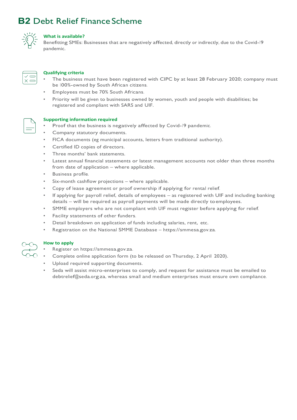### **B2** Debt Relief Finance Scheme



#### **What is available?**

Benefitting SMEs: Businesses that are negatively affected, directly or indirectly, due to the Covid-19 pandemic.

#### **Qualifying criteria**

- The business must have been registered with CIPC by at least 28 February 2020; company must be 100%-owned by South African citizens.
- Employees must be 70% South Africans.
- Priority will be given to businesses owned by women, youth and people with disabilities; be registered and compliant with SARS and UIF.



#### **Supporting information required**

- Proof that the business is negatively affected by Covid-19 pandemic.
- Company statutory documents.
- FICA documents (eg municipal accounts, letters from traditional authority).
- Certified ID copies of directors.
- Three months' bank statements.
- Latest annual financial statements or latest management accounts not older than three months from date of application – where applicable.
- Business profile.
- Six-month cashflow projections where applicable.
- Copy of lease agreement or proof ownership if applying for rental relief.
- If applying for payroll relief, details of employees as registered with UIF and including banking details – will be required as payroll payments will be made directly toemployees.
- SMME employers who are not compliant with UIF must register before applying for relief.
- Facility statements of other funders.
- Detail breakdown on application of funds including salaries, rent, etc.
- Registration on the National SMME Database https://smmesa.gov.za.



#### **How to apply**

- Register on https://smmesa.gov.za.
- Complete online application form (to be released on Thursday, 2 April 2020).
- Upload required supporting documents.
- Seda will assist micro-enterprises to comply, and request for assistance must be emailed to debtrelief@seda.org.za, whereas small and medium enterprises must ensure own compliance.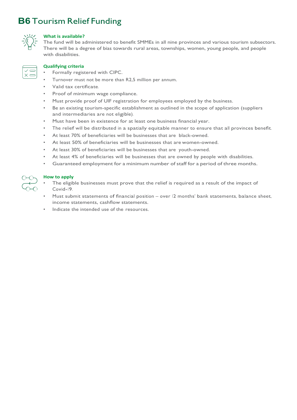### **B6** Tourism Relief Funding



#### **What is available?**

The fund will be administered to benefit SMMEs in all nine provinces and various tourism subsectors. There will be a degree of bias towards rural areas, townships, women, young people, and people with disabilities.

#### **Qualifying criteria**

- Formally registered with CIPC.
- Turnover must not be more than R2,5 million per annum.
- Valid tax certificate.
- Proof of minimum wage compliance.
- Must provide proof of UIF registration for employees employed by the business.
- Be an existing tourism-specific establishment as outlined in the scope of application (suppliers and intermediaries are not eligible).
- Must have been in existence for at least one business financial year.
- The relief will be distributed in a spatially equitable manner to ensure that all provinces benefit.
- At least 70% of beneficiaries will be businesses that are black-owned.
- At least 50% of beneficiaries will be businesses that are women-owned.
- At least 30% of beneficiaries will be businesses that are youth-owned.
- At least 4% of beneficiaries will be businesses that are owned by people with disabilities.
- Guaranteed employment for a minimum number of staff for a period of three months.



#### **How to apply**

- The eligible businesses must prove that the relief is required as a result of the impact of Covid-19.
- Must submit statements of financial position over 12 months' bank statements, balance sheet, income statements, cashflow statements.
- Indicate the intended use of the resources.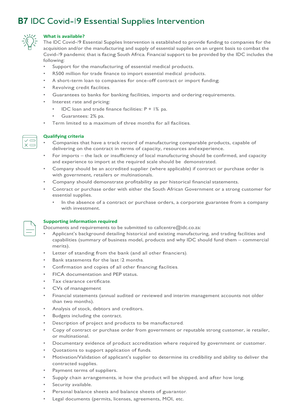### **B7** IDC Covid-19 Essential Supplies Intervention



#### **What is available?**

The IDC Covid-19 Essential Supplies Intervention is established to provide funding to companies for the acquisition and/or the manufacturing and supply of essential supplies on an urgent basis to combat the Covid-19 pandemic that is facing South Africa. Financial support to be provided by the IDC includes the following:

- Support for the manufacturing of essential medical products.
- R500 million for trade finance to import essential medical products.
- <sup>A</sup> short-term loan to companies for once-off contract or import funding.
- Revolving credit facilities.
- Guarantees to banks for banking facilities, imports and ordering requirements.
- Interest rate and pricing:
	- IDC loan and trade finance facilities:  $P + 1\%$  pa.
	- Guarantees: 2% pa.
- Term limited to a maximum of three months for all facilities.



#### **Qualifying criteria**

- Companies that have a track record of manufacturing comparable products, capable of delivering on the contract in terms of capacity, resources andexperience.
- For imports the lack or insufficiency of local manufacturing should be confirmed, and capacity and experience to import at the required scale should be demonstrated.
- Company should be an accredited supplier (where applicable) if contract or purchase order is with government, retailers or multinationals.
- Company should demonstrate profitability as per historical financial statements.
- Contract or purchase order with either the South African Government or a strong customer for essential supplies.
	- In the absence of a contract or purchase orders, a corporate guarantee from a company with investment.



### **Supporting information required**

Documents and requirements to be submitted to callcentre@idc.co.za:

- Applicant's background detailing historical and existing manufacturing, and trading facilities and capabilities (summary of business model, products and why IDC should fund them – commercial merits).
- Letter of standing from the bank (and all other financiers).
- Bank statements for the last 12 months.
- Confirmation and copies of all other financing facilities.
- FICA documentation and PEP status.
- Tax clearance certificate.
- CVs of management
- Financial statements (annual audited or reviewed and interim management accounts not older than two months).
- Analysis of stock, debtors and creditors.
- Budgets including the contract.
- Description of project and products to be manufactured.
- Copy of contract or purchase order from government or reputable strong customer, ie retailer, or multinational.
- Documentary evidence of product accreditation where required by government or customer.
- Quotations to support application of funds.
- Motivation/Validation of applicant's supplier to determine its credibility and ability to deliver the contracted supplies.
- Payment terms of suppliers.
- Supply chain arrangements, ie how the product will be shipped, and after how long.
- Security available.
- Personal balance sheets and balance sheets of guarantor.
- Legal documents (permits, licenses, agreements, MOI, etc.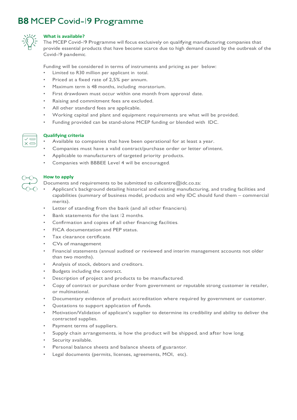### **B8** MCEP Covid-19 Programme



#### **What is available?**

The MCEP Covid-19 Programme will focus exclusively on qualifying manufacturing companies that provide essential products that have become scarce due to high demand caused by the outbreak of the Covid-19 pandemic.

Funding will be considered in terms of instruments and pricing as per below:

- Limited to R30 million per applicant in total.
- Priced at a fixed rate of 2,5% per annum.
- Maximum term is 48 months, including moratorium.
- First drawdown must occur within one month from approval date.
- Raising and commitment fees are excluded.
- All other standard fees are applicable.
- Working capital and plant and equipment requirements are what will be provided.
- Funding provided can be stand-alone MCEP funding or blended with IDC.



#### **Qualifying criteria**

- Available to companies that have been operational for at least a year.
- Companies must have a valid contract/purchase order or letter of intent.
- Applicable to manufacturers of targeted priority products.
- Companies with BBBEE Level 4 will be encouraged.

#### **How to apply**

Documents and requirements to be submitted to callcentre@idc.co.za:

- Applicant's background detailing historical and existing manufacturing, and trading facilities and capabilities (summary of business model, products and why IDC should fund them – commercial merits).
- Letter of standing from the bank (and all other financiers).
- Bank statements for the last 12 months.
- Confirmation and copies of all other financing facilities.
- FICA documentation and PEP status.
- Tax clearance certificate.
- CVs of management
- Financial statements (annual audited or reviewed and interim management accounts not older than two months).
- Analysis of stock, debtors and creditors.
- Budgets including the contract.
- Description of project and products to be manufactured.
- Copy of contract or purchase order from government or reputable strong customer ie retailer, or multinational.
- Documentary evidence of product accreditation where required by government or customer.
- Quotations to support application of funds.
- Motivation/Validation of applicant's supplier to determine its credibility and ability to deliver the contracted supplies.
- Payment terms of suppliers.
- Supply chain arrangements, ie how the product will be shipped, and after how long.
- Security available.
- Personal balance sheets and balance sheets of guarantor.
- Legal documents (permits, licenses, agreements, MOI, etc).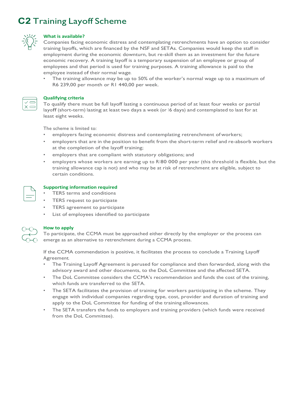### **C2** Training Layoff Scheme



#### **What is available?**

Companies facing economic distress and contemplating retrenchments have an option to consider training layoffs, which are financed by the NSF and SETAs. Companies would keep the staff in employment during the economic downturn, but re-skill them as an investment for the future economic recovery. A training layoff is a temporary suspension of an employee or group of employees and that period is used for training purposes. A training allowance is paid to the employee instead of their normal wage.

The training allowance may be up to 50% of the worker's normal wage up to a maximum of R6 239,00 per month or R1 440,00 per week.



#### **Qualifying criteria**

To qualify there must be full layoff lasting a continuous period of at least four weeks or partial layoff (short-term) lasting at least two days a week (or 16 days) and contemplated to last for at least eight weeks.

The scheme is limited to:

- employers facing economic distress and contemplating retrenchment of workers;
- employers that are in the position to benefit from the short-term relief and re-absorb workers at the completion of the layoff training;
- employers that are compliant with statutory obligations; and
- employers whose workers are earning up to R180 000 per year (this threshold is flexible, but the training allowance cap is not) and who may be at risk of retrenchment are eligible, subject to certain conditions.

#### **Supporting information required**

- TERS terms and conditions
- TERS request to participate
- TERS agreement to participate
- List of employees identified to participate



#### **How to apply**

To participate, the CCMA must be approached either directly by the employer or the process can emerge as an alternative to retrenchment during a CCMA process.

If the CCMA commendation is positive, it facilitates the process to conclude a Training Layoff Agreement.

- The Training Layoff Agreement is perused for compliance and then forwarded, along with the advisory award and other documents, to the DoL Committee and the affected SETA.
- The DoL Committee considers the CCMA's recommendation and funds the cost of the training, which funds are transferred to the SETA.
- The SETA facilitates the provision of training for workers participating in the scheme. They engage with individual companies regarding type, cost, provider and duration of training and apply to the DoL Committee for funding of the training allowances.
- The SETA transfers the funds to employers and training providers (which funds were received from the DoL Committee).